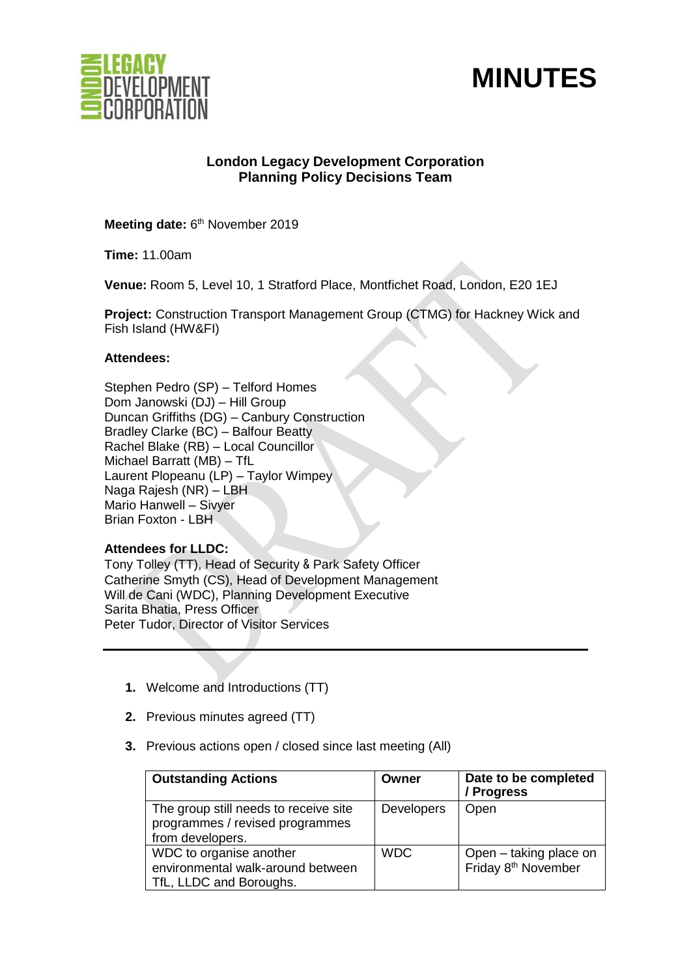



# **London Legacy Development Corporation Planning Policy Decisions Team**

Meeting date: 6<sup>th</sup> November 2019

**Time:** 11.00am

**Venue:** Room 5, Level 10, 1 Stratford Place, Montfichet Road, London, E20 1EJ

**Project:** Construction Transport Management Group (CTMG) for Hackney Wick and Fish Island (HW&FI)

# **Attendees:**

Stephen Pedro (SP) – Telford Homes Dom Janowski (DJ) – Hill Group Duncan Griffiths (DG) – Canbury Construction Bradley Clarke (BC) – Balfour Beatty Rachel Blake (RB) – Local Councillor Michael Barratt (MB) – TfL Laurent Plopeanu (LP) – Taylor Wimpey Naga Rajesh (NR) – LBH Mario Hanwell – Sivyer Brian Foxton - LBH

# **Attendees for LLDC:**

Tony Tolley (TT), Head of Security & Park Safety Officer Catherine Smyth (CS), Head of Development Management Will de Cani (WDC), Planning Development Executive Sarita Bhatia, Press Officer Peter Tudor, Director of Visitor Services

- **1.** Welcome and Introductions (TT)
- **2.** Previous minutes agreed (TT)
- **3.** Previous actions open / closed since last meeting (All)

| <b>Outstanding Actions</b>                                                                   | Owner             | Date to be completed<br>/ Progress                        |
|----------------------------------------------------------------------------------------------|-------------------|-----------------------------------------------------------|
| The group still needs to receive site<br>programmes / revised programmes<br>from developers. | <b>Developers</b> | Open                                                      |
| WDC to organise another<br>environmental walk-around between<br>TfL, LLDC and Boroughs.      | <b>WDC</b>        | Open - taking place on<br>Friday 8 <sup>th</sup> November |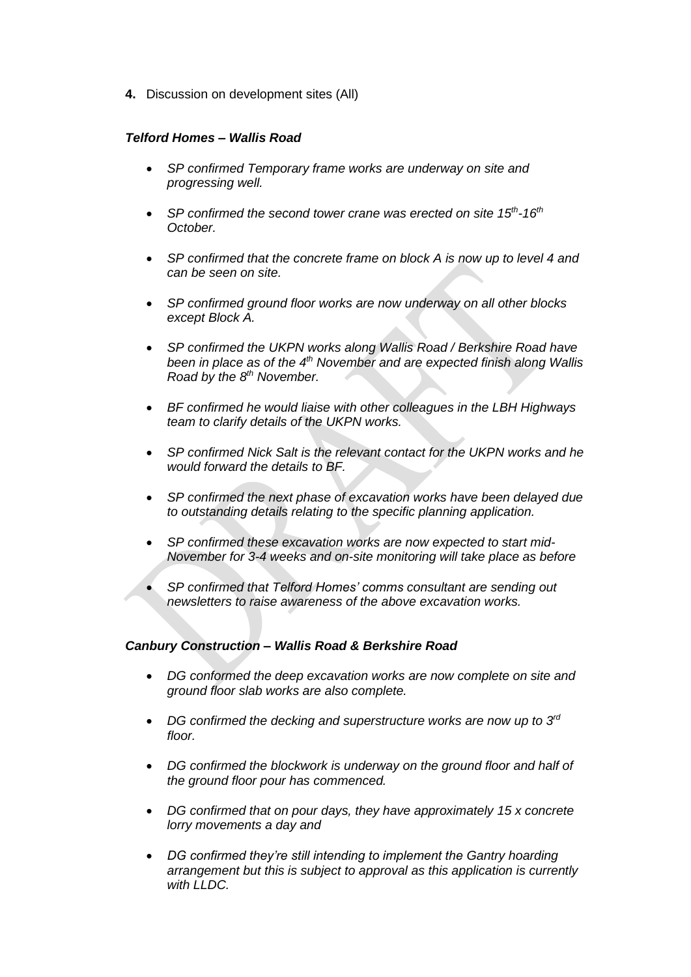**4.** Discussion on development sites (All)

#### *Telford Homes – Wallis Road*

- *SP confirmed Temporary frame works are underway on site and progressing well.*
- SP confirmed the second tower crane was erected on site 15<sup>th</sup>-16<sup>th</sup> *October.*
- *SP confirmed that the concrete frame on block A is now up to level 4 and can be seen on site.*
- *SP confirmed ground floor works are now underway on all other blocks except Block A.*
- *SP confirmed the UKPN works along Wallis Road / Berkshire Road have been in place as of the 4<sup>th</sup> November and are expected finish along Wallis Road by the 8th November.*
- *BF confirmed he would liaise with other colleagues in the LBH Highways team to clarify details of the UKPN works.*
- *SP confirmed Nick Salt is the relevant contact for the UKPN works and he would forward the details to BF.*
- *SP confirmed the next phase of excavation works have been delayed due to outstanding details relating to the specific planning application.*
- *SP confirmed these excavation works are now expected to start mid-November for 3-4 weeks and on-site monitoring will take place as before*
- *SP confirmed that Telford Homes' comms consultant are sending out newsletters to raise awareness of the above excavation works.*

#### *Canbury Construction – Wallis Road & Berkshire Road*

- *DG conformed the deep excavation works are now complete on site and ground floor slab works are also complete.*
- *DG confirmed the decking and superstructure works are now up to 3rd floor.*
- *DG confirmed the blockwork is underway on the ground floor and half of the ground floor pour has commenced.*
- *DG confirmed that on pour days, they have approximately 15 x concrete lorry movements a day and*
- *DG confirmed they're still intending to implement the Gantry hoarding arrangement but this is subject to approval as this application is currently with LLDC.*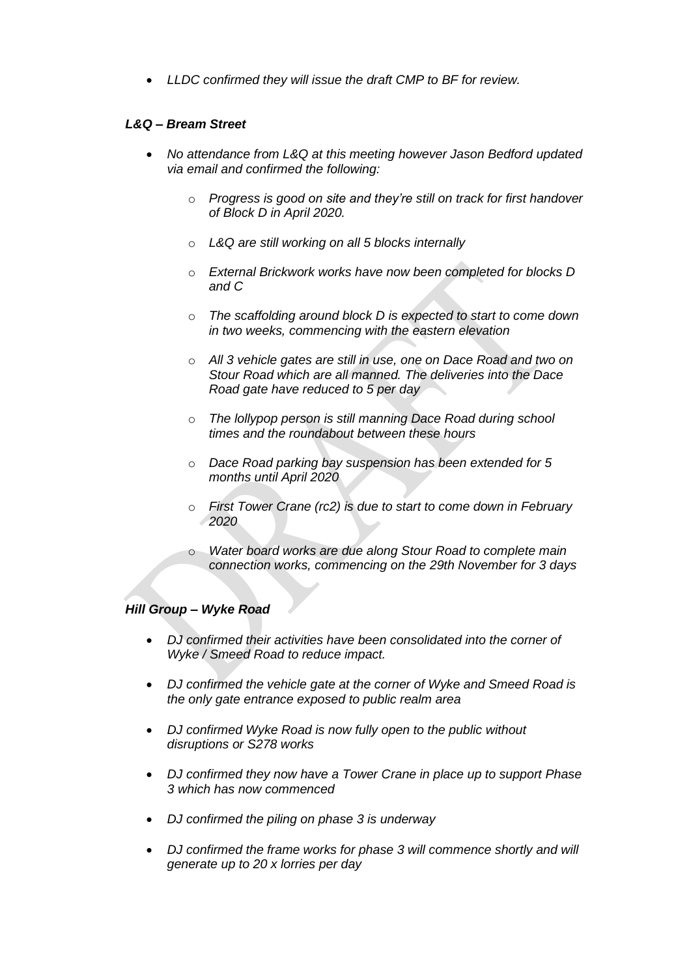• *LLDC confirmed they will issue the draft CMP to BF for review.* 

#### *L&Q – Bream Street*

- *No attendance from L&Q at this meeting however Jason Bedford updated via email and confirmed the following:* 
	- o *Progress is good on site and they're still on track for first handover of Block D in April 2020.*
	- o *L&Q are still working on all 5 blocks internally*
	- o *External Brickwork works have now been completed for blocks D and C*
	- o *The scaffolding around block D is expected to start to come down in two weeks, commencing with the eastern elevation*
	- o *All 3 vehicle gates are still in use, one on Dace Road and two on Stour Road which are all manned. The deliveries into the Dace Road gate have reduced to 5 per day*
	- o *The lollypop person is still manning Dace Road during school times and the roundabout between these hours*
	- o *Dace Road parking bay suspension has been extended for 5 months until April 2020*
	- o *First Tower Crane (rc2) is due to start to come down in February 2020*
	- o *Water board works are due along Stour Road to complete main connection works, commencing on the 29th November for 3 days*

# *Hill Group – Wyke Road*

- *DJ confirmed their activities have been consolidated into the corner of Wyke / Smeed Road to reduce impact.*
- *DJ confirmed the vehicle gate at the corner of Wyke and Smeed Road is the only gate entrance exposed to public realm area*
- *DJ confirmed Wyke Road is now fully open to the public without disruptions or S278 works*
- *DJ confirmed they now have a Tower Crane in place up to support Phase 3 which has now commenced*
- *DJ confirmed the piling on phase 3 is underway*
- *DJ confirmed the frame works for phase 3 will commence shortly and will generate up to 20 x lorries per day*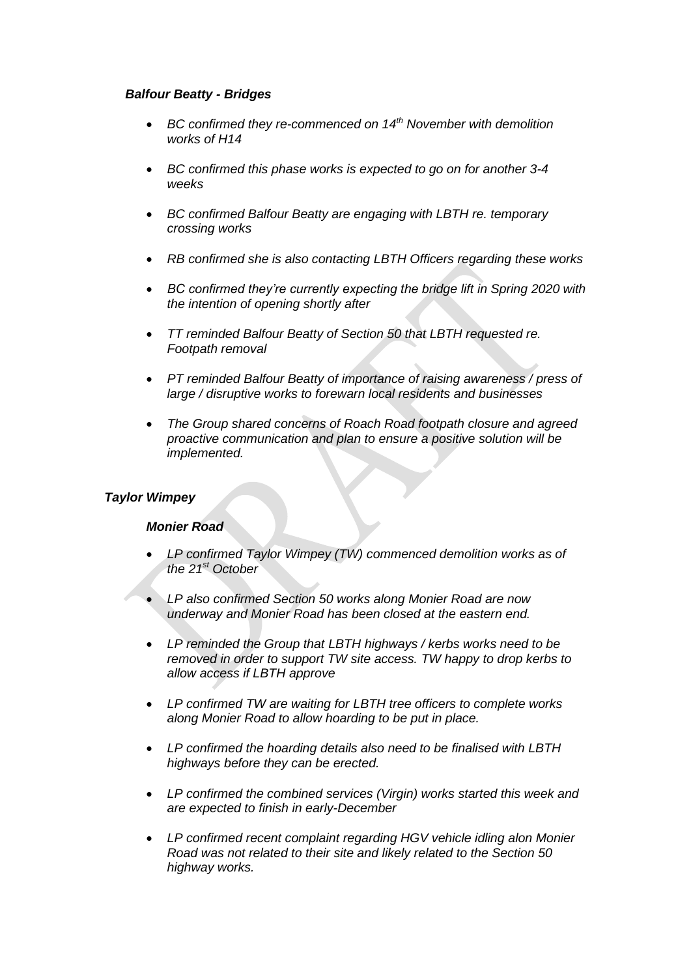#### *Balfour Beatty - Bridges*

- *BC confirmed they re-commenced on 14th November with demolition works of H14*
- *BC confirmed this phase works is expected to go on for another 3-4 weeks*
- *BC confirmed Balfour Beatty are engaging with LBTH re. temporary crossing works*
- *RB confirmed she is also contacting LBTH Officers regarding these works*
- *BC confirmed they're currently expecting the bridge lift in Spring 2020 with the intention of opening shortly after*
- *TT reminded Balfour Beatty of Section 50 that LBTH requested re. Footpath removal*
- *PT reminded Balfour Beatty of importance of raising awareness / press of large / disruptive works to forewarn local residents and businesses*
- *The Group shared concerns of Roach Road footpath closure and agreed proactive communication and plan to ensure a positive solution will be implemented.*

# *Taylor Wimpey*

#### *Monier Road*

- *LP confirmed Taylor Wimpey (TW) commenced demolition works as of the 21st October*
- *LP also confirmed Section 50 works along Monier Road are now underway and Monier Road has been closed at the eastern end.*
- *LP reminded the Group that LBTH highways / kerbs works need to be removed in order to support TW site access. TW happy to drop kerbs to allow access if LBTH approve*
- *LP confirmed TW are waiting for LBTH tree officers to complete works along Monier Road to allow hoarding to be put in place.*
- *LP confirmed the hoarding details also need to be finalised with LBTH highways before they can be erected.*
- *LP confirmed the combined services (Virgin) works started this week and are expected to finish in early-December*
- *LP confirmed recent complaint regarding HGV vehicle idling alon Monier Road was not related to their site and likely related to the Section 50 highway works.*